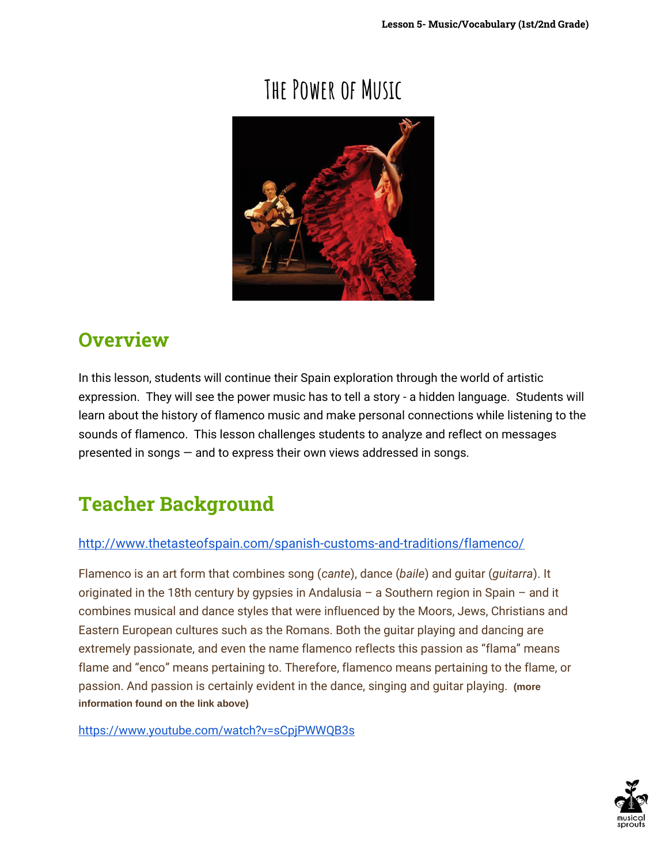# **The Power of Music**



## **Overview**

In this lesson, students will continue their Spain exploration through the world of artistic expression. They will see the power music has to tell a story - a hidden language. Students will learn about the history of flamenco music and make personal connections while listening to the sounds of flamenco. This lesson challenges students to analyze and reflect on messages presented in songs — and to express their own views addressed in songs.

# **Teacher Background**

### <http://www.thetasteofspain.com/spanish-customs-and-traditions/flamenco/>

Flamenco is an art form that combines song (*cante*), dance (*baile*) and guitar (*guitarra*). It originated in the 18th century by gypsies in Andalusia – a Southern region in Spain – and it combines musical and dance styles that were influenced by the Moors, Jews, Christians and Eastern European cultures such as the Romans. Both the guitar playing and dancing are extremely passionate, and even the name flamenco reflects this passion as "flama" means flame and "enco" means pertaining to. Therefore, flamenco means pertaining to the flame, or passion. And passion is certainly evident in the dance, singing and guitar playing. **(more information found on the link above)**

<https://www.youtube.com/watch?v=sCpjPWWQB3s>

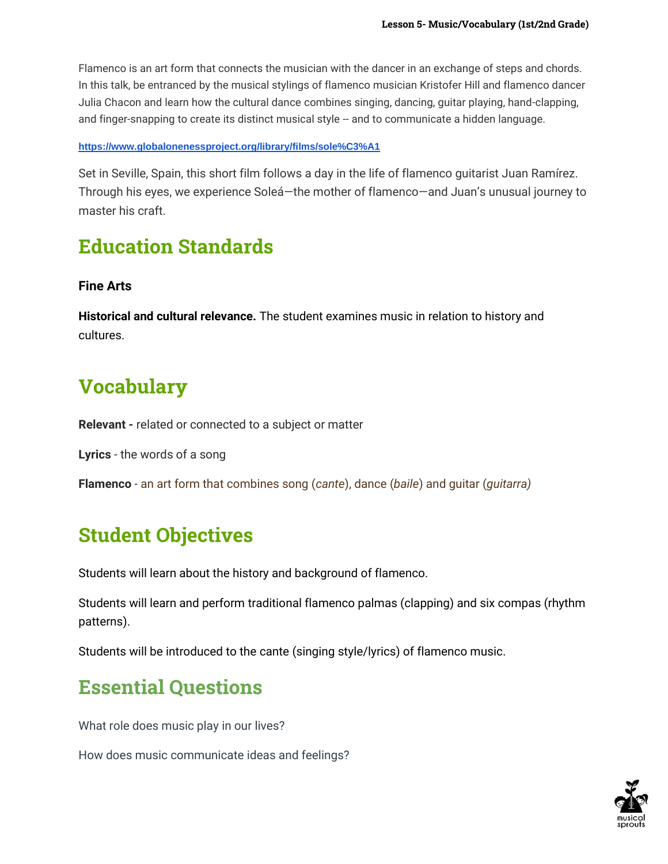Flamenco is an art form that connects the musician with the dancer in an exchange of steps and chords. In this talk, be entranced by the musical stylings of flamenco musician Kristofer Hill and flamenco dancer Julia Chacon and learn how the cultural dance combines singing, dancing, guitar playing, hand-clapping, and finger-snapping to create its distinct musical style -- and to communicate a hidden language.

#### **<https://www.globalonenessproject.org/library/films/sole%C3%A1>**

Set in Seville, Spain, this short film follows a day in the life of flamenco guitarist Juan Ramírez. Through his eyes, we experience Soleá—the mother of flamenco—and Juan's unusual journey to master his craft.

### **Education Standards**

#### **Fine Arts**

**Historical and cultural relevance.** The student examines music in relation to history and cultures.

## **Vocabulary**

**Relevant -** related or connected to a subject or matter

**Lyrics** - the words of a song

**Flamenco** - an art form that combines song (*cante*), dance (*baile*) and guitar (*guitarra)*

## **Student Objectives**

Students will learn about the history and background of flamenco.

Students will learn and perform traditional flamenco palmas (clapping) and six compas (rhythm patterns).

Students will be introduced to the cante (singing style/lyrics) of flamenco music.

### **Essential Questions**

What role does music play in our lives?

How does music communicate ideas and feelings?

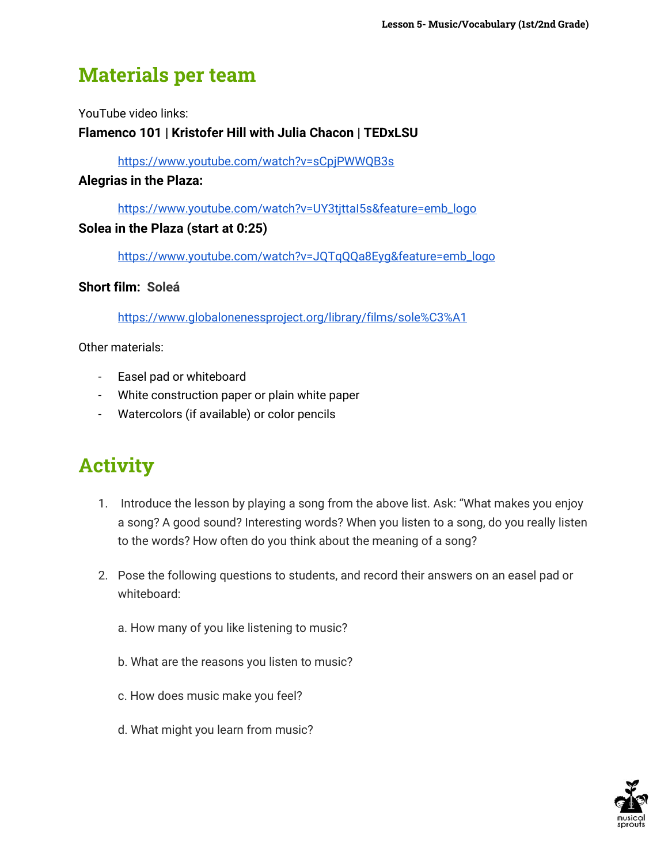## **Materials per team**

YouTube video links:

### **Flamenco 101 | Kristofer Hill with Julia Chacon | TEDxLSU**

<https://www.youtube.com/watch?v=sCpjPWWQB3s>

#### **Alegrias in the Plaza:**

[https://www.youtube.com/watch?v=UY3tjttaI5s&feature=emb\\_logo](https://www.youtube.com/watch?v=UY3tjttaI5s&feature=emb_logo)

### **Solea in the Plaza (start at 0:25)**

[https://www.youtube.com/watch?v=JQTqQQa8Eyg&feature=emb\\_logo](https://www.youtube.com/watch?v=JQTqQQa8Eyg&feature=emb_logo)

### **Short film: Soleá**

<https://www.globalonenessproject.org/library/films/sole%C3%A1>

Other materials:

- Easel pad or whiteboard
- White construction paper or plain white paper
- Watercolors (if available) or color pencils

# **Activity**

- 1. Introduce the lesson by playing a song from the above list. Ask: "What makes you enjoy a song? A good sound? Interesting words? When you listen to a song, do you really listen to the words? How often do you think about the meaning of a song?
- 2. Pose the following questions to students, and record their answers on an easel pad or whiteboard:
	- a. How many of you like listening to music?
	- b. What are the reasons you listen to music?
	- c. How does music make you feel?
	- d. What might you learn from music?